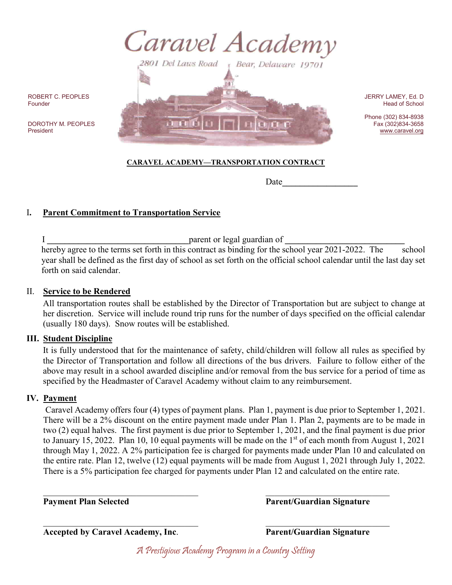



ROBERT C. PEOPLES Founder

DOROTHY M. PEOPLES President

#### JERRY LAMEY, Ed. D Head of School

Phone (302) 834-8938 Fax (302)834-3658 [www.caravel.org](http://www.caravel.org/)

## **CARAVEL ACADEMY—TRANSPORTATION CONTRACT**

Date

# I**. Parent Commitment to Transportation Service**

 I **\_\_\_\_\_\_\_\_\_\_\_\_\_\_\_\_\_\_\_\_\_\_\_\_\_\_\_\_\_\_\_\_**parent or legal guardian of **\_\_\_\_\_\_\_\_\_\_\_\_\_\_\_\_\_\_\_\_\_\_\_\_\_\_\_** hereby agree to the terms set forth in this contract as binding for the school year 2021-2022. The school year shall be defined as the first day of school as set forth on the official school calendar until the last day set forth on said calendar.

#### II. **Service to be Rendered**

All transportation routes shall be established by the Director of Transportation but are subject to change at her discretion. Service will include round trip runs for the number of days specified on the official calendar (usually 180 days). Snow routes will be established.

### **III. Student Discipline**

It is fully understood that for the maintenance of safety, child/children will follow all rules as specified by the Director of Transportation and follow all directions of the bus drivers. Failure to follow either of the above may result in a school awarded discipline and/or removal from the bus service for a period of time as specified by the Headmaster of Caravel Academy without claim to any reimbursement.

### **IV. Payment**

Caravel Academy offers four (4) types of payment plans. Plan 1, payment is due prior to September 1, 2021. There will be a 2% discount on the entire payment made under Plan 1. Plan 2, payments are to be made in two (2) equal halves. The first payment is due prior to September 1, 2021, and the final payment is due prior to January 15, 2022. Plan 10, 10 equal payments will be made on the  $1<sup>st</sup>$  of each month from August 1, 2021 through May 1, 2022. A 2% participation fee is charged for payments made under Plan 10 and calculated on the entire rate. Plan 12, twelve (12) equal payments will be made from August 1, 2021 through July 1, 2022. There is a 5% participation fee charged for payments under Plan 12 and calculated on the entire rate.

 $\mathcal{L}_\text{max}$  , and the contribution of the contribution of the contribution of the contribution of the contribution of the contribution of the contribution of the contribution of the contribution of the contribution of t **Payment Plan Selected Parent/Guardian Signature**

 $\mathcal{L}_\text{max}$  , and the contribution of the contribution of the contribution of the contribution of the contribution of the contribution of the contribution of the contribution of the contribution of the contribution of t **Accepted by Caravel Academy, Inc**. **Parent/Guardian Signature**

A Prestigious Academy Program in a Country Setting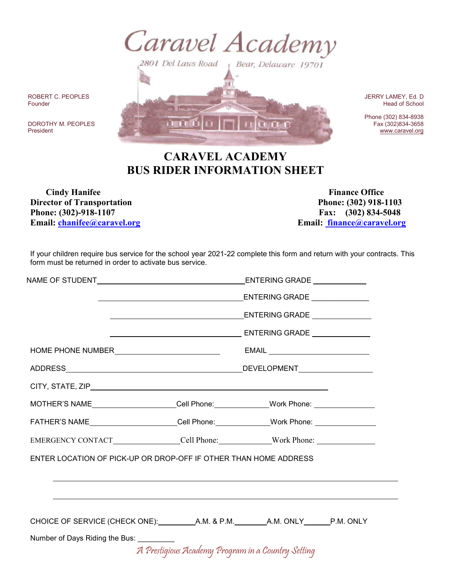

ROBERT C. PEOPLES Founder

DOROTHY M. PEOPLES President

JERRY LAMEY, Ed. D Head of School

Phone (302) 834-8938 Fax (302)834-3658 [www.caravel.org](http://www.caravel.org/)

# **CARAVEL ACADEMY BUS RIDER INFORMATION SHEET**

 $(1)$   $(1)$ 

**THE THE** 

*Cindy Hanifee* Finance Office **Director** of Transportation **Phone: (302)** 918-1103 **Phone: (302)-918-1107 Fax: (302) 834-5048 Email: [chanifee@caravel.org](mailto:chanifee@caravel.org) Email: [finance@caravel.org](mailto:%20finance@caravel.org)**

If your children require bus service for the school year 2021-22 complete this form and return with your contracts. This form must be returned in order to activate bus service.

|                                                                                           |  | ENTERING GRADE _____________ |  |
|-------------------------------------------------------------------------------------------|--|------------------------------|--|
|                                                                                           |  |                              |  |
| ENTERING GRADE _______________<br><u> 1980 - Johann Barnett, fransk politik (d. 1980)</u> |  |                              |  |
|                                                                                           |  |                              |  |
|                                                                                           |  |                              |  |
|                                                                                           |  |                              |  |
| CITY, STATE, ZIP <b>EXECUTE A STATE AND THE STATE ASSESS</b>                              |  |                              |  |
| MOTHER'S NAME____________________Cell Phone:_____________Work Phone: ___________          |  |                              |  |
| FATHER'S NAME _____________________Cell Phone: _____________Work Phone: _______________   |  |                              |  |
| EMERGENCY CONTACT_______________Cell Phone:_____________Work Phone: _____________         |  |                              |  |
| ENTER LOCATION OF PICK-UP OR DROP-OFF IF OTHER THAN HOME ADDRESS                          |  |                              |  |
|                                                                                           |  |                              |  |
|                                                                                           |  |                              |  |
|                                                                                           |  |                              |  |
|                                                                                           |  |                              |  |
| Number of Days Riding the Bus: __________                                                 |  |                              |  |
| A Prestigious Academy Program in a Country Setting                                        |  |                              |  |